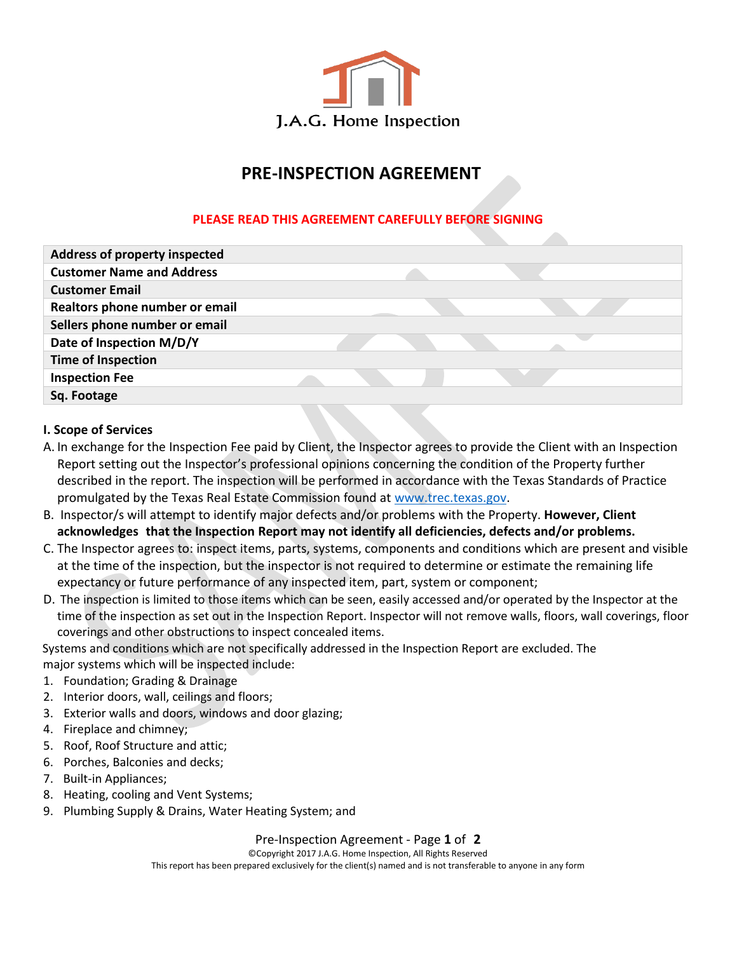

# **PRE-INSPECTION AGREEMENT**

## **PLEASE READ THIS AGREEMENT CAREFULLY BEFORE SIGNING**

| <b>Address of property inspected</b> |  |  |
|--------------------------------------|--|--|
| <b>Customer Name and Address</b>     |  |  |
| <b>Customer Email</b>                |  |  |
| Realtors phone number or email       |  |  |
| Sellers phone number or email        |  |  |
| Date of Inspection M/D/Y             |  |  |
| <b>Time of Inspection</b>            |  |  |
| <b>Inspection Fee</b>                |  |  |
| Sq. Footage                          |  |  |

#### **I. Scope of Services**

- A. In exchange for the Inspection Fee paid by Client, the Inspector agrees to provide the Client with an Inspection Report setting out the Inspector's professional opinions concerning the condition of the Property further described in the report. The inspection will be performed in accordance with the Texas Standards of Practice promulgated by the Texas Real Estate Commission found at [www.trec.texas.gov.](http://www.trec.texas.gov/)
- B. Inspector/s will attempt to identify major defects and/or problems with the Property. **However, Client acknowledges that the Inspection Report may not identify all deficiencies, defects and/or problems.**
- C. The Inspector agrees to: inspect items, parts, systems, components and conditions which are present and visible at the time of the inspection, but the inspector is not required to determine or estimate the remaining life expectancy or future performance of any inspected item, part, system or component;
- D. The inspection is limited to those items which can be seen, easily accessed and/or operated by the Inspector at the time of the inspection as set out in the Inspection Report. Inspector will not remove walls, floors, wall coverings, floor coverings and other obstructions to inspect concealed items.

Systems and conditions which are not specifically addressed in the Inspection Report are excluded. The major systems which will be inspected include:

- 1. Foundation; Grading & Drainage
- 2. Interior doors, wall, ceilings and floors;
- 3. Exterior walls and doors, windows and door glazing;
- 4. Fireplace and chimney;
- 5. Roof, Roof Structure and attic;
- 6. Porches, Balconies and decks;
- 7. Built-in Appliances;
- 8. Heating, cooling and Vent Systems;
- 9. Plumbing Supply & Drains, Water Heating System; and

### Pre-Inspection Agreement - Page **1** of **2**

©Copyright 2017 J.A.G. Home Inspection, All Rights Reserved

This report has been prepared exclusively for the client(s) named and is not transferable to anyone in any form